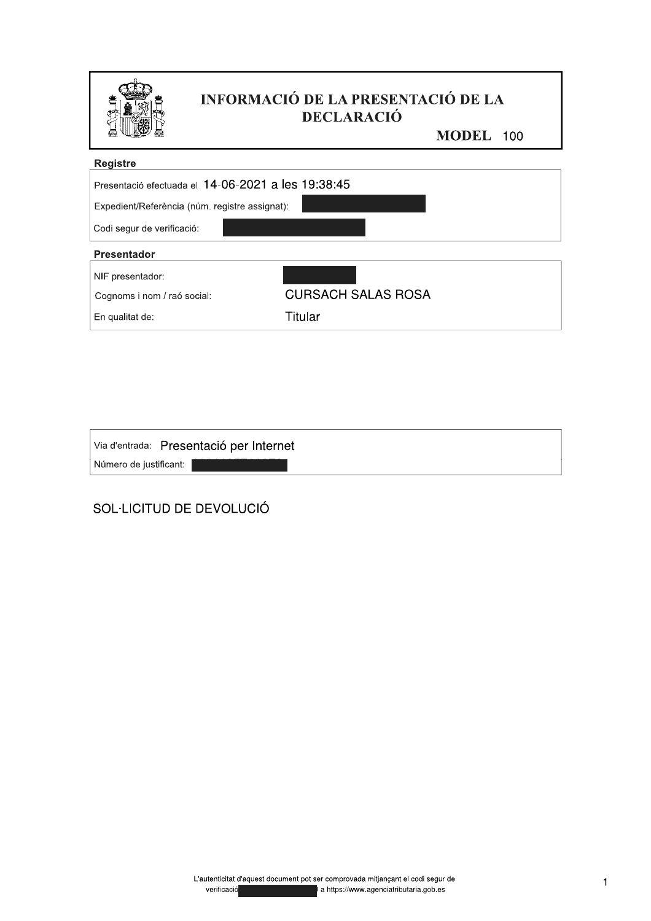

### INFORMACIÓ DE LA PRESENTACIÓ DE LA DECLARACIÓ

MODEL 100

#### **Registre**

| Presentació efectuada el 14-06-2021 a les 19:38:45 |                           |  |  |  |
|----------------------------------------------------|---------------------------|--|--|--|
| Expedient/Referència (núm. registre assignat):     |                           |  |  |  |
| Codi segur de verificació:                         |                           |  |  |  |
| Presentador                                        |                           |  |  |  |
| NIF presentador:                                   |                           |  |  |  |
| Cognoms i nom / raó social:                        | <b>CURSACH SALAS ROSA</b> |  |  |  |
| En qualitat de:                                    | Titular                   |  |  |  |

| Via d'entrada: Presentació per Internet |  |
|-----------------------------------------|--|
| Número de justificant:                  |  |

### SOL·LICITUD DE DEVOLUCIÓ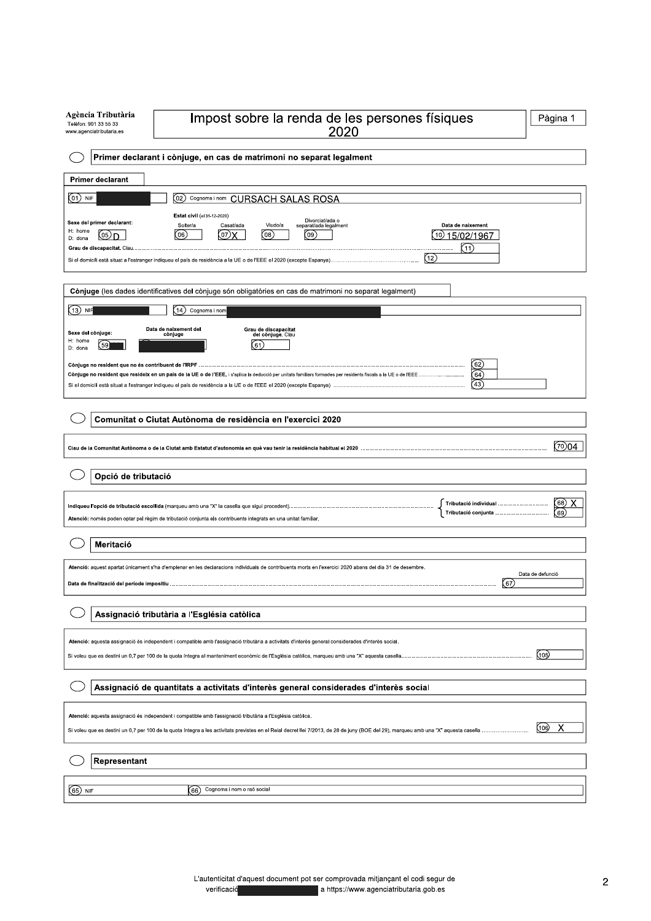| Agència Tributària<br>Telèfon: 901 33 55 33<br>www.agenciatributaria.es                                    | Impost sobre la renda de les persones físiques<br>2020                                                                                                                                        | Pàgina 1                                 |  |  |  |  |
|------------------------------------------------------------------------------------------------------------|-----------------------------------------------------------------------------------------------------------------------------------------------------------------------------------------------|------------------------------------------|--|--|--|--|
|                                                                                                            |                                                                                                                                                                                               |                                          |  |  |  |  |
|                                                                                                            | Primer declarant i cònjuge, en cas de matrimoni no separat legalment                                                                                                                          |                                          |  |  |  |  |
| <b>Primer declarant</b>                                                                                    |                                                                                                                                                                                               |                                          |  |  |  |  |
|                                                                                                            |                                                                                                                                                                                               |                                          |  |  |  |  |
| (01) NIF                                                                                                   | (02)<br>Cognomsinom CURSACH SALAS ROSA                                                                                                                                                        |                                          |  |  |  |  |
| Sexe del primer declarant:<br>H: home<br>O5)<br>'n<br>D: dona<br>Grau de discapacitat. Clau.               | Estat civil (el 31-12-2020)<br>Divorciat/ada o<br>Viudo/a<br>Solter/a<br>Casat/ada<br>Data de naixement<br>separat/ada legalment<br>(06)<br>(07)<br>(08)<br>(09<br>(10)<br>15/02/1967<br>(11) |                                          |  |  |  |  |
|                                                                                                            | (12)                                                                                                                                                                                          |                                          |  |  |  |  |
|                                                                                                            |                                                                                                                                                                                               |                                          |  |  |  |  |
|                                                                                                            | Cònjuge (les dades identificatives del cònjuge són obligatòries en cas de matrimoni no separat legalment)                                                                                     |                                          |  |  |  |  |
| (13) NIF                                                                                                   | (14)<br>Cognoms i nom                                                                                                                                                                         |                                          |  |  |  |  |
|                                                                                                            |                                                                                                                                                                                               |                                          |  |  |  |  |
| Sexe del cònjuge:<br>H: home                                                                               | Data de naixement del<br>Grau de discapacitat<br>del cònjuge. Clau<br>cònjuge                                                                                                                 |                                          |  |  |  |  |
| D: dona                                                                                                    | (61                                                                                                                                                                                           |                                          |  |  |  |  |
|                                                                                                            | 62)                                                                                                                                                                                           |                                          |  |  |  |  |
|                                                                                                            | 64)<br>(43)                                                                                                                                                                                   |                                          |  |  |  |  |
|                                                                                                            |                                                                                                                                                                                               |                                          |  |  |  |  |
|                                                                                                            |                                                                                                                                                                                               |                                          |  |  |  |  |
|                                                                                                            | Comunitat o Ciutat Autònoma de residència en l'exercici 2020                                                                                                                                  |                                          |  |  |  |  |
|                                                                                                            |                                                                                                                                                                                               | (70)04                                   |  |  |  |  |
|                                                                                                            |                                                                                                                                                                                               |                                          |  |  |  |  |
| Opció de tributació                                                                                        |                                                                                                                                                                                               |                                          |  |  |  |  |
|                                                                                                            |                                                                                                                                                                                               |                                          |  |  |  |  |
|                                                                                                            | Atenció: només poden optar pel règim de tributació conjunta els contribuents integrats en una unitat familiar.                                                                                | $\begin{pmatrix} 68 \\ 69 \end{pmatrix}$ |  |  |  |  |
|                                                                                                            |                                                                                                                                                                                               |                                          |  |  |  |  |
| Meritació                                                                                                  |                                                                                                                                                                                               |                                          |  |  |  |  |
|                                                                                                            |                                                                                                                                                                                               |                                          |  |  |  |  |
|                                                                                                            | Atenció: aquest apartat únicament s'ha d'emplenar en les declaracions individuals de contribuents morts en l'exercici 2020 abans del dia 31 de desembre.                                      | Data de defunció                         |  |  |  |  |
|                                                                                                            |                                                                                                                                                                                               | (67)                                     |  |  |  |  |
|                                                                                                            |                                                                                                                                                                                               |                                          |  |  |  |  |
|                                                                                                            | Assignació tributària a l'Església catòlica                                                                                                                                                   |                                          |  |  |  |  |
|                                                                                                            |                                                                                                                                                                                               |                                          |  |  |  |  |
|                                                                                                            | Atenció: aquesta assignació és independent i compatible amb l'assignació tributària a activitats d'interès general considerades d'interès social.                                             |                                          |  |  |  |  |
|                                                                                                            |                                                                                                                                                                                               | (105)                                    |  |  |  |  |
|                                                                                                            |                                                                                                                                                                                               |                                          |  |  |  |  |
|                                                                                                            | Assignació de quantitats a activitats d'interès general considerades d'interès social                                                                                                         |                                          |  |  |  |  |
|                                                                                                            |                                                                                                                                                                                               |                                          |  |  |  |  |
| Atenció: aquesta assignació és independent i compatible amb l'assignació tributària a l'Església catòlica. |                                                                                                                                                                                               |                                          |  |  |  |  |
|                                                                                                            |                                                                                                                                                                                               | (106)                                    |  |  |  |  |
|                                                                                                            |                                                                                                                                                                                               |                                          |  |  |  |  |
| Representant                                                                                               |                                                                                                                                                                                               |                                          |  |  |  |  |
|                                                                                                            |                                                                                                                                                                                               |                                          |  |  |  |  |
| (65) nif                                                                                                   | Cognoms i nom o raó social<br>(66)                                                                                                                                                            |                                          |  |  |  |  |
|                                                                                                            |                                                                                                                                                                                               |                                          |  |  |  |  |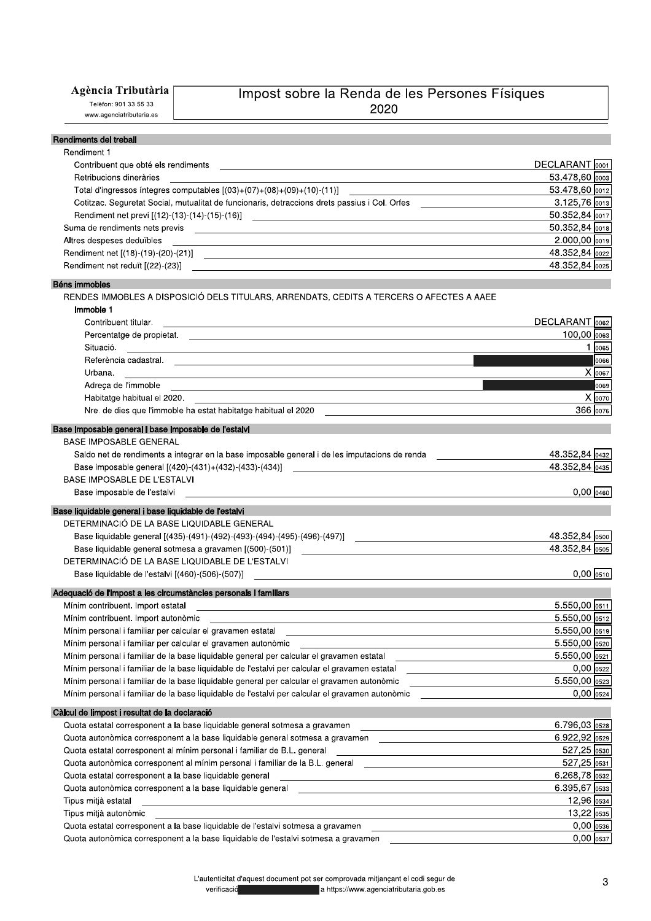#### Agència Tributària

Telèfon: 901 33 55 33 www.agenciatributaria.es

ر<br>المسلمات المسلم الأول التي

# Impost sobre la Renda de les Persones Físiques<br>2020

| ו וסוועווווסוווט עסו נוסטמוו                                                                                                                                                                                                   |                                  |
|--------------------------------------------------------------------------------------------------------------------------------------------------------------------------------------------------------------------------------|----------------------------------|
| Rendiment 1                                                                                                                                                                                                                    |                                  |
| Contribuent que obté els rendiments<br>the control of the control of the control of the control of the control of the control of                                                                                               | DECLARANT 0001<br>53.478,60 0003 |
| Retribucions dineràries                                                                                                                                                                                                        | 53.478,60 0012                   |
|                                                                                                                                                                                                                                | 3.125,76 0013                    |
| Cotitzac. Seguretat Social, mutualitat de funcionaris, detraccions drets passius i Col. Orfes                                                                                                                                  | 50.352,84 0017                   |
| Rendiment net previ [(12)-(13)-(14)-(15)-(16)]                                                                                                                                                                                 | 50.352,84 0018                   |
|                                                                                                                                                                                                                                | $2.000,00$ $\overline{0019}$     |
| Altres despeses deduïbles<br><u> 1989 - Johann Harry Harry Harry Harry Harry Harry Harry Harry Harry Harry Harry Harry Harry Harry Harry Harry</u>                                                                             | 48.352,84 0022                   |
| Rendiment net [(18)-(19)-(20)-(21)]                                                                                                                                                                                            | 48.352,84 0025                   |
|                                                                                                                                                                                                                                |                                  |
| Béns immobles                                                                                                                                                                                                                  |                                  |
| RENDES IMMOBLES A DISPOSICIÓ DELS TITULARS, ARRENDATS, CEDITS A TERCERS O AFECTES A AAEE                                                                                                                                       |                                  |
| Immoble 1                                                                                                                                                                                                                      |                                  |
| Contribuent titular.                                                                                                                                                                                                           | DECLARANT 0062                   |
| Percentatge de propietat.                                                                                                                                                                                                      | 100,00 0063                      |
| Situació.<br>and the control of the control of the control of the control of the control of the control of the control of the                                                                                                  | 1 0065                           |
| Referència cadastral.<br>Territoria de la contradición de la contradición de la contradición de la contradición de la contradición de                                                                                          | 0066                             |
| Urbana.                                                                                                                                                                                                                        | $X$ 0067                         |
| Adreça de l'immoble est al construction de la construction de la construction de la construction de la construction de la construction de la construction de la construction de la construction de la construction de la const | 0069                             |
| Habitatge habitual el 2020.<br><u> 1989 - Johann Barn, amerikansk politiker (d. 1989)</u>                                                                                                                                      | $X$ 0070                         |
| Nre. de dies que l'immoble ha estat habitatge habitual el 2020                                                                                                                                                                 | 366 0076                         |
| Base imposable general i base imposable de l'estalvi                                                                                                                                                                           |                                  |
| <b>BASE IMPOSABLE GENERAL</b>                                                                                                                                                                                                  |                                  |
| Saldo net de rendiments a integrar en la base imposable general i de les imputacions de renda                                                                                                                                  | 48.352,84 0432                   |
| Base imposable general [(420)-(431)+(432)-(433)-(434)]<br><u> 1989 - Johann John Stone, Amerikaansk politiker (</u>                                                                                                            | 48.352,84 0435                   |
| BASE IMPOSABLE DE L'ESTALVI                                                                                                                                                                                                    |                                  |
| Base imposable de l'estalvi                                                                                                                                                                                                    | $0,00$ 0460                      |
|                                                                                                                                                                                                                                |                                  |
| Base liquidable general i base liquidable de l'estalvi<br>DETERMINACIÓ DE LA BASE LIQUIDABLE GENERAL                                                                                                                           |                                  |
|                                                                                                                                                                                                                                |                                  |
| Base liquidable general [(435)-(491)-(492)-(493)-(494)-(495)-(496)-(497)]                                                                                                                                                      | 48.352,84 0500<br>48.352,84 0505 |
| DETERMINACIÓ DE LA BASE LIQUIDABLE DE L'ESTALVI                                                                                                                                                                                |                                  |
|                                                                                                                                                                                                                                | $0,00$ $0510$                    |
| Base liquidable de l'estalvi [(460)-(506)-(507)]<br>anticología de la contexta de la contexta de la contexta de la contexta de la contexta de la contexta de la c                                                              |                                  |
| Adequació de l'impost a les circumstàncies personals i familiars                                                                                                                                                               |                                  |
| Mínim contribuent. Import estatal                                                                                                                                                                                              | $5.550,00$ $_{0511}$             |
| Mínim contribuent. Import autonòmic                                                                                                                                                                                            | 5.550,00 0512                    |
| Mínim personal i familiar per calcular el gravamen estatal                                                                                                                                                                     | 5.550,00 0519                    |
| Mínim personal i familiar per calcular el gravamen autonòmic                                                                                                                                                                   | 5.550,00 0520                    |
| Mínim personal i familiar de la base liquidable general per calcular el gravamen estatal                                                                                                                                       | $5.550,00$ 0521                  |
| Mínim personal i familiar de la base liquidable de l'estalvi per calcular el gravamen estatal<br><u> 1989 - Johann Harry Barn, mars and de Branch and de Branch and de Branch and de Branch and de Branch and de B</u>         | $0,00$ 0522                      |
| Mínim personal i familiar de la base liquidable general per calcular el gravamen autonòmic                                                                                                                                     | 5.550,00 0523                    |
| Mínim personal i familiar de la base liquidable de l'estalvi per calcular el gravamen autonòmic                                                                                                                                | $0,00$ $0524$                    |
| Càlcul de limpost i resultat de la declaració                                                                                                                                                                                  |                                  |
| Quota estatal corresponent a la base liquidable general sotmesa a gravamen<br>the control of the control of the control of the control of the control of                                                                       | $6.796,03$ 0528                  |
| Quota autonòmica corresponent a la base liquidable general sotmesa a gravamen<br>the control of the control of the control of the control of the control of                                                                    | 6.922,92 0529                    |
| Quota estatal corresponent al mínim personal i familiar de B.L. general<br><u> 1980 - Johann Barn, amerikansk politiker (</u>                                                                                                  | 527,25 0530                      |
| Quota autonòmica corresponent al mínim personal i familiar de la B.L. general                                                                                                                                                  | 527,25 0531                      |
| Quota estatal corresponent a la base liquidable general                                                                                                                                                                        | 6.268,78 0532                    |
| Quota autonòmica corresponent a la base liquidable general<br><u> 1989 - Jan Samuel Barbara, margaret e populari e populari e populari e populari e populari e populari e popu</u>                                             | 6.395,67 0533                    |
| Tipus mitjà estatal                                                                                                                                                                                                            | 12,96 0534                       |
| Tipus mitjà autonòmic                                                                                                                                                                                                          | 13,22 0535                       |
| Quota estatal corresponent a la base liquidable de l'estalvi sotmesa a gravamen                                                                                                                                                | $0,00$ 0536                      |
| Quota autonòmica corresponent a la base liquidable de l'estalvi sotmesa a gravamen                                                                                                                                             | $0,00$ $0537$                    |
|                                                                                                                                                                                                                                |                                  |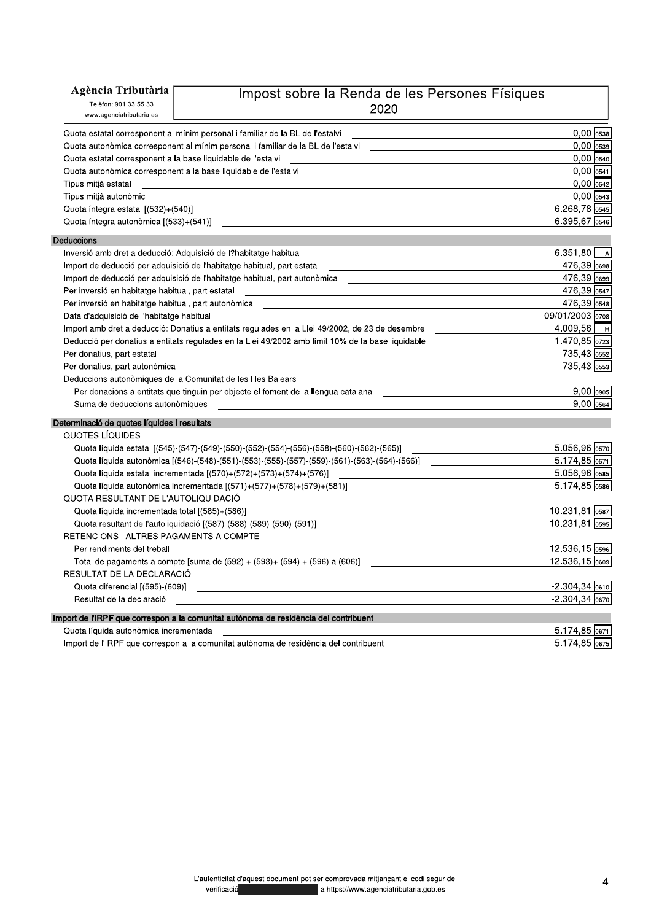Telèfon: 901 33 55 33 www.agenciatributaria.es

## Impost sobre la Renda de les Persones Físiques<br>2020

| www.ayonualibulaha.cs                                                                                                                                                                        |                            |
|----------------------------------------------------------------------------------------------------------------------------------------------------------------------------------------------|----------------------------|
| Quota estatal corresponent al mínim personal i familiar de la BL de l'estalvi                                                                                                                | $0,00$  0538               |
| Quota autonòmica corresponent al mínim personal i familiar de la BL de l'estalvi                                                                                                             | $0.00$ 0539                |
| Quota estatal corresponent a la base liquidable de l'estalvi                                                                                                                                 | $0,00$ $0540$              |
| Quota autonòmica corresponent a la base liquidable de l'estalvi<br><u> 1999 - Johann John Stone, Amerikaansk politiker (</u>                                                                 | $0,00$ 0541                |
| Tipus mitjà estatal                                                                                                                                                                          | $0,00$ 0542                |
| Tipus mitjà autonòmic                                                                                                                                                                        | $0,00$ $ 0543 $            |
| Quota íntegra estatal [(532)+(540)]                                                                                                                                                          | 6.268,78 0545              |
|                                                                                                                                                                                              | $6.395,67$ 0546            |
| <b>Deduccions</b>                                                                                                                                                                            |                            |
| Inversió amb dret a deducció: Adquisició de l?habitatge habitual                                                                                                                             | 6.351,80<br>A              |
| Import de deducció per adquisició de l'habitatge habitual, part estatal                                                                                                                      | 476,39 0698                |
| Import de deducció per adquisició de l'habitatge habitual, part autonòmica                                                                                                                   | 476,39 0699                |
| Per inversió en habitatge habitual, part estatal                                                                                                                                             | 476,39 0547                |
| Per inversió en habitatge habitual, part autonòmica en el producto de la producto de la producto de la product                                                                               | 476,39 0548                |
| Data d'adquisició de l'habitatge habitual                                                                                                                                                    | 09/01/2003 0708            |
| Import amb dret a deducció: Donatius a entitats regulades en la Llei 49/2002, de 23 de desembre                                                                                              | 4.009,56<br>- H            |
| Deducció per donatius a entitats regulades en la Llei 49/2002 amb límit 10% de la base liquidable                                                                                            | 1.470,85 0723              |
| Per donatius, part estatal                                                                                                                                                                   | 735,43 0552                |
| Per donatius, part autonòmica                                                                                                                                                                | 735,43 0553                |
| Deduccions autonòmiques de la Comunitat de les Illes Balears                                                                                                                                 |                            |
| Per donacions a entitats que tinguin per objecte el foment de la llengua catalana                                                                                                            | $9,00$ 0905                |
| Suma de deduccions autonòmiques                                                                                                                                                              | $9,00$ $0564$              |
| Determinació de quotes líquides i resultats                                                                                                                                                  |                            |
| QUOTES LÍQUIDES                                                                                                                                                                              |                            |
| Quota líquida estatal [(545)-(547)-(549)-(550)-(552)-(554)-(556)-(558)-(560)-(562)-(565)]                                                                                                    | 5.056,96 0570              |
|                                                                                                                                                                                              | $5.174,85$ <sub>0571</sub> |
| Quota líquida estatal incrementada [(570)+(572)+(573)+(574)+(576)]<br><u> 1989 - Johann Barn, mars ann an t-Amhainn an t-Amhainn an t-Amhainn an t-Amhainn an t-Amhainn an t-Amhainn an </u> | 5.056,96 0585              |
| Quota líquida autonòmica incrementada [(571)+(577)+(578)+(579)+(581)]<br>(571)<br>(571)<br>(571)+(577)+(578)+(579)+(581)]                                                                    | 5.174,85 0586              |
| QUOTA RESULTANT DE L'AUTOLIQUIDACIÓ                                                                                                                                                          |                            |
| Quota líquida incrementada total [(585)+(586)]<br><u> 1989 - Johann Stoff, deutscher Stoffen und der Stoffen und der Stoffen und der Stoffen und der Stoffen und der</u>                     | 10.231,81 0587             |
| Quota resultant de l'autoliquidació [(587)-(588)-(589)-(590)-(591)] ________________________________                                                                                         | 10.231,81 0595             |
| RETENCIONS I ALTRES PAGAMENTS A COMPTE                                                                                                                                                       |                            |
| Per rendiments del treball                                                                                                                                                                   | 12.536,15 0596             |
| Total de pagaments a compte [suma de (592) + (593)+ (594) + (596) a (606)] ___________________________________                                                                               | 12.536,15 0609             |
| RESULTAT DE LA DECLARACIÓ                                                                                                                                                                    |                            |
| Quota diferencial [(595)-(609)]<br><u> 1989 - Johann Harry Harry Harry Harry Harry Harry Harry Harry Harry Harry Harry Harry Harry Harry Harry Harry</u>                                     | $-2.304,34$ 0610           |
| Resultat de la declaració                                                                                                                                                                    | $-2.304,34$ 0670           |
| Import de l'IRPF que correspon a la comunitat autònoma de residència del contribuent                                                                                                         |                            |
| Quota líquida autonòmica incrementada                                                                                                                                                        | 5.174,85 0671              |
| Import de l'IRPF que correspon a la comunitat autònoma de residència del contribuent                                                                                                         | 5.174,85 0675              |